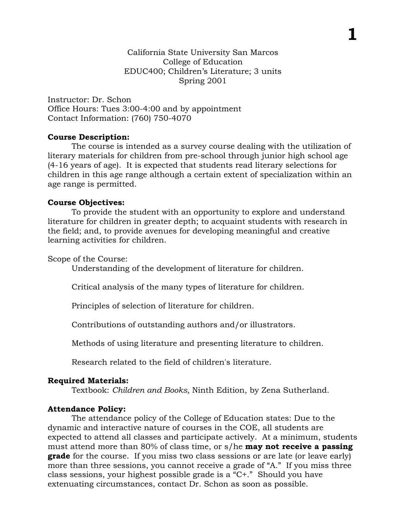**1**

Instructor: Dr. Schon Office Hours: Tues 3:00-4:00 and by appointment Contact Information: (760) 750-4070

## **Course Description:**

The course is intended as a survey course dealing with the utilization of literary materials for children from pre-school through junior high school age (4-16 years of age). It is expected that students read literary selections for children in this age range although a certain extent of specialization within an age range is permitted.

## **Course Objectives:**

To provide the student with an opportunity to explore and understand literature for children in greater depth; to acquaint students with research in the field; and, to provide avenues for developing meaningful and creative learning activities for children.

Scope of the Course:

Understanding of the development of literature for children.

Critical analysis of the many types of literature for children.

Principles of selection of literature for children.

Contributions of outstanding authors and/or illustrators.

Methods of using literature and presenting literature to children.

Research related to the field of children's literature.

# **Required Materials:**

Textbook: *Children and Books,* Ninth Edition, by Zena Sutherland.

# **Attendance Policy:**

The attendance policy of the College of Education states: Due to the dynamic and interactive nature of courses in the COE, all students are expected to attend all classes and participate actively. At a minimum, students must attend more than 80% of class time, or s/he **may not receive a passing grade** for the course. If you miss two class sessions or are late (or leave early) more than three sessions, you cannot receive a grade of "A." If you miss three class sessions, your highest possible grade is a "C+." Should you have extenuating circumstances, contact Dr. Schon as soon as possible.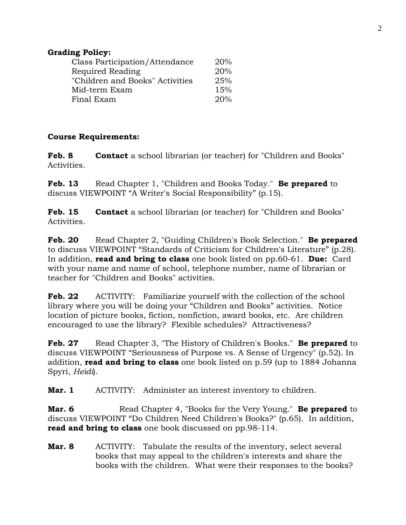## **Grading Policy:**

| Class Participation/Attendance  | 20% |
|---------------------------------|-----|
| Required Reading                | 20% |
| "Children and Books" Activities | 25% |
| Mid-term Exam                   | 15% |
| Final Exam                      | 20% |

# **Course Requirements:**

**Feb. 8 Contact** a school librarian (or teacher) for "Children and Books" Activities.

**Feb. 13** Read Chapter 1, "Children and Books Today." **Be prepared** to discuss VIEWPOINT "A Writer's Social Responsibility" (p.15).

**Feb. 15 Contact** a school librarian (or teacher) for "Children and Books" Activities.

**Feb. 20** Read Chapter 2, "Guiding Children's Book Selection." **Be prepared** to discuss VIEWPOINT "Standards of Criticism for Children's Literature" (p.28). In addition, **read and bring to class** one book listed on pp.60-61. **Due:** Card with your name and name of school, telephone number, name of librarian or teacher for "Children and Books" activities.

**Feb. 22** ACTIVITY: Familiarize yourself with the collection of the school library where you will be doing your "Children and Books" activities. Notice location of picture books, fiction, nonfiction, award books, etc. Are children encouraged to use the library? Flexible schedules? Attractiveness?

**Feb. 27** Read Chapter 3, "The History of Children's Books." **Be prepared** to discuss VIEWPOINT "Seriousness of Purpose vs. A Sense of Urgency" (p.52). In addition, **read and bring to class** one book listed on p.59 (up to 1884 Johanna Spyri, *Heidi*).

**Mar. 1** ACTIVITY: Administer an interest inventory to children.

**Mar. 6** Read Chapter 4, "Books for the Very Young." **Be prepared** to discuss VIEWPOINT "Do Children Need Children's Books?" (p.65). In addition, **read and bring to class** one book discussed on pp.98-114.

**Mar. 8** ACTIVITY: Tabulate the results of the inventory, select several books that may appeal to the children's interests and share the books with the children. What were their responses to the books?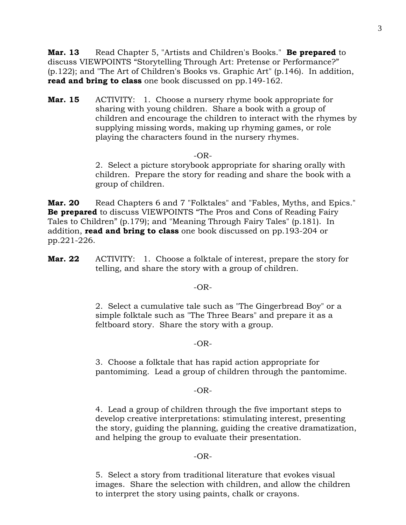**Mar. 13** Read Chapter 5, "Artists and Children's Books." **Be prepared** to discuss VIEWPOINTS "Storytelling Through Art: Pretense or Performance?" (p.122); and "The Art of Children's Books vs. Graphic Art" (p.146). In addition, **read and bring to class** one book discussed on pp.149-162.

**Mar. 15** ACTIVITY: 1. Choose a nursery rhyme book appropriate for sharing with young children. Share a book with a group of children and encourage the children to interact with the rhymes by supplying missing words, making up rhyming games, or role playing the characters found in the nursery rhymes.

#### $-OR-$

2. Select a picture storybook appropriate for sharing orally with children. Prepare the story for reading and share the book with a group of children.

**Mar. 20** Read Chapters 6 and 7 "Folktales" and "Fables, Myths, and Epics." **Be prepared** to discuss VIEWPOINTS "The Pros and Cons of Reading Fairy Tales to Children" (p.179); and "Meaning Through Fairy Tales" (p.181). In addition, **read and bring to class** one book discussed on pp.193-204 or pp.221-226.

**Mar. 22** ACTIVITY: 1. Choose a folktale of interest, prepare the story for telling, and share the story with a group of children.

#### -OR-

2. Select a cumulative tale such as "The Gingerbread Boy" or a simple folktale such as "The Three Bears" and prepare it as a feltboard story. Share the story with a group.

#### $-OR-$

3. Choose a folktale that has rapid action appropriate for pantomiming. Lead a group of children through the pantomime.

#### -OR-

4. Lead a group of children through the five important steps to develop creative interpretations: stimulating interest, presenting the story, guiding the planning, guiding the creative dramatization, and helping the group to evaluate their presentation.

#### $-OR-$

5. Select a story from traditional literature that evokes visual images. Share the selection with children, and allow the children to interpret the story using paints, chalk or crayons.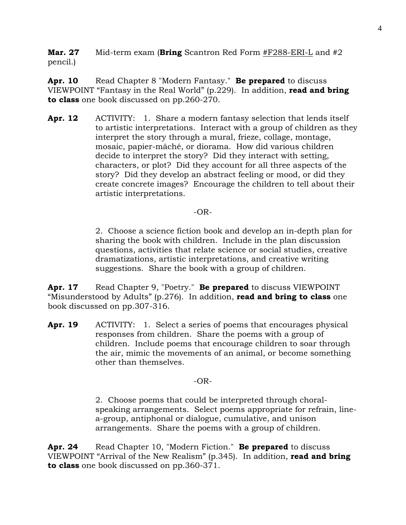**Mar. 27** Mid-term exam (**Bring** Scantron Red Form #F288-ERI-L and #2 pencil.)

**Apr. 10** Read Chapter 8 "Modern Fantasy." **Be prepared** to discuss VIEWPOINT "Fantasy in the Real World" (p.229). In addition, **read and bring to class** one book discussed on pp.260-270.

**Apr. 12** ACTIVITY: 1. Share a modern fantasy selection that lends itself to artistic interpretations. Interact with a group of children as they interpret the story through a mural, frieze, collage, montage, mosaic, papier-mâché, or diorama. How did various children decide to interpret the story? Did they interact with setting, characters, or plot? Did they account for all three aspects of the story? Did they develop an abstract feeling or mood, or did they create concrete images? Encourage the children to tell about their artistic interpretations.

### -OR-

2. Choose a science fiction book and develop an in-depth plan for sharing the book with children. Include in the plan discussion questions, activities that relate science or social studies, creative dramatizations, artistic interpretations, and creative writing suggestions. Share the book with a group of children.

**Apr. 17** Read Chapter 9, "Poetry." **Be prepared** to discuss VIEWPOINT "Misunderstood by Adults" (p.276). In addition, **read and bring to class** one book discussed on pp.307-316.

**Apr. 19** ACTIVITY: 1. Select a series of poems that encourages physical responses from children. Share the poems with a group of children. Include poems that encourage children to soar through the air, mimic the movements of an animal, or become something other than themselves.

## -OR-

2. Choose poems that could be interpreted through choralspeaking arrangements. Select poems appropriate for refrain, linea-group, antiphonal or dialogue, cumulative, and unison arrangements. Share the poems with a group of children.

**Apr. 24** Read Chapter 10, "Modern Fiction." **Be prepared** to discuss VIEWPOINT "Arrival of the New Realism" (p.345). In addition, **read and bring to class** one book discussed on pp.360-371.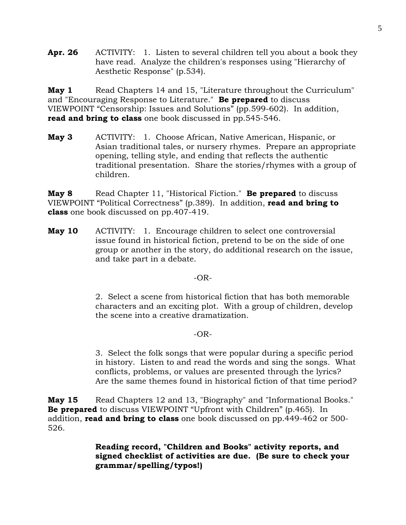**Apr. 26** ACTIVITY: 1. Listen to several children tell you about a book they have read. Analyze the children's responses using "Hierarchy of Aesthetic Response" (p.534).

**May 1** Read Chapters 14 and 15, "Literature throughout the Curriculum" and "Encouraging Response to Literature." **Be prepared** to discuss VIEWPOINT "Censorship: Issues and Solutions" (pp.599-602). In addition, **read and bring to class** one book discussed in pp.545-546.

**May 3** ACTIVITY: 1. Choose African, Native American, Hispanic, or Asian traditional tales, or nursery rhymes. Prepare an appropriate opening, telling style, and ending that reflects the authentic traditional presentation. Share the stories/rhymes with a group of children.

**May 8** Read Chapter 11, "Historical Fiction." **Be prepared** to discuss VIEWPOINT "Political Correctness" (p.389). In addition, **read and bring to class** one book discussed on pp.407-419.

**May 10** ACTIVITY: 1. Encourage children to select one controversial issue found in historical fiction, pretend to be on the side of one group or another in the story, do additional research on the issue, and take part in a debate.

### -OR-

2. Select a scene from historical fiction that has both memorable characters and an exciting plot. With a group of children, develop the scene into a creative dramatization.

## -OR-

3. Select the folk songs that were popular during a specific period in history. Listen to and read the words and sing the songs. What conflicts, problems, or values are presented through the lyrics? Are the same themes found in historical fiction of that time period?

**May 15** Read Chapters 12 and 13, "Biography" and "Informational Books." **Be prepared** to discuss VIEWPOINT "Upfront with Children" (p.465). In addition, **read and bring to class** one book discussed on pp.449-462 or 500- 526.

> **Reading record, "Children and Books" activity reports, and signed checklist of activities are due. (Be sure to check your grammar/spelling/typos!)**